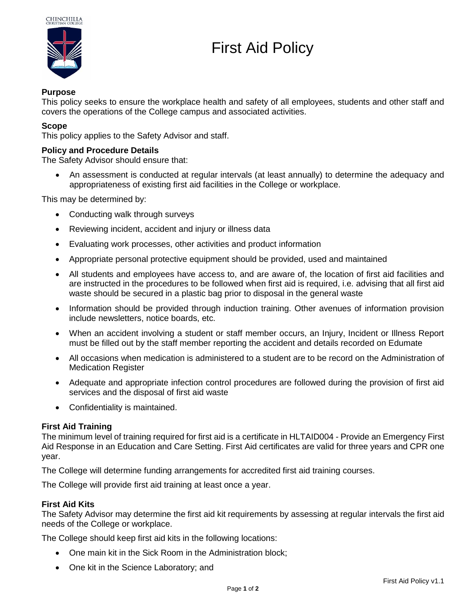

# First Aid Policy

## **Purpose**

This policy seeks to ensure the workplace health and safety of all employees, students and other staff and covers the operations of the College campus and associated activities.

## **Scope**

This policy applies to the Safety Advisor and staff.

## **Policy and Procedure Details**

The Safety Advisor should ensure that:

 An assessment is conducted at regular intervals (at least annually) to determine the adequacy and appropriateness of existing first aid facilities in the College or workplace.

This may be determined by:

- Conducting walk through surveys
- Reviewing incident, accident and injury or illness data
- Evaluating work processes, other activities and product information
- Appropriate personal protective equipment should be provided, used and maintained
- All students and employees have access to, and are aware of, the location of first aid facilities and are instructed in the procedures to be followed when first aid is required, i.e. advising that all first aid waste should be secured in a plastic bag prior to disposal in the general waste
- Information should be provided through induction training. Other avenues of information provision include newsletters, notice boards, etc.
- When an accident involving a student or staff member occurs, an Injury, Incident or Illness Report must be filled out by the staff member reporting the accident and details recorded on Edumate
- All occasions when medication is administered to a student are to be record on the Administration of Medication Register
- Adequate and appropriate infection control procedures are followed during the provision of first aid services and the disposal of first aid waste
- Confidentiality is maintained.

#### **First Aid Training**

The minimum level of training required for first aid is a certificate in HLTAID004 - Provide an Emergency First Aid Response in an Education and Care Setting. First Aid certificates are valid for three years and CPR one year.

The College will determine funding arrangements for accredited first aid training courses.

The College will provide first aid training at least once a year.

## **First Aid Kits**

The Safety Advisor may determine the first aid kit requirements by assessing at regular intervals the first aid needs of the College or workplace.

The College should keep first aid kits in the following locations:

- One main kit in the Sick Room in the Administration block;
- One kit in the Science Laboratory; and